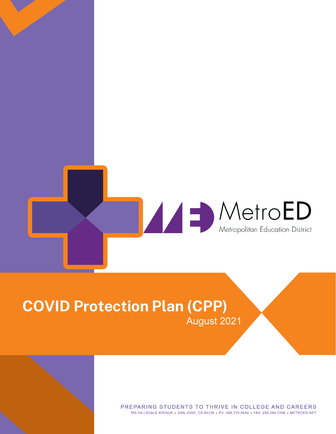

# **COVID Protection Plan (CPP)** August 2021

PREPARING STUDENTS TO THRIVE IN COLLEGE AND CAREERS 760 HILLSDALE AVENUE . SAN JOSE, CA 95136 . PH: 408.723.6464 . FAX: 408.264.7266 . METROED.NET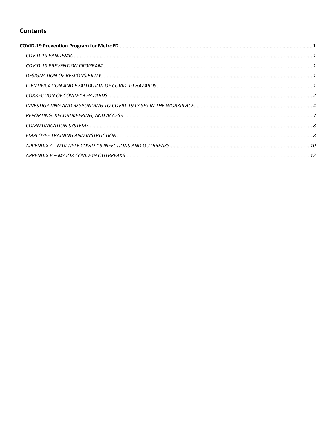## **Contents**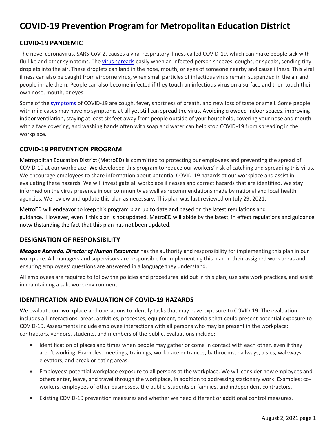## <span id="page-3-0"></span>**COVID-19 Prevention Program for Metropolitan Education District**

## <span id="page-3-1"></span>**COVID-19 PANDEMIC**

The novel coronavirus, SARS-CoV-2, causes a viral respiratory illness called COVID-19, which can make people sick with flu-like and other symptoms. The [virus spreads](https://www.cdc.gov/coronavirus/2019-ncov/prevent-getting-sick/prevention.html) easily when an infected person sneezes, coughs, or speaks, sending tiny droplets into the air. These droplets can land in the nose, mouth, or eyes of someone nearby and cause illness. This viral illness can also be caught from airborne virus, when small particles of infectious virus remain suspended in the air and people inhale them. People can also become infected if they touch an infectious virus on a surface and then touch their own nose, mouth, or eyes.

Some of th[e symptoms](https://www.cdc.gov/coronavirus/2019-ncov/symptoms-testing/symptoms.html) of COVID-19 are cough, fever, shortness of breath, and new loss of taste or smell. Some people with mild cases may have no symptoms at all yet still can spread the virus. Avoiding crowded indoor spaces, improving indoor ventilation, staying at least six feet away from people outside of your household, covering your nose and mouth with a face covering, and washing hands often with soap and water can help stop COVID-19 from spreading in the workplace.

## <span id="page-3-2"></span>**COVID-19 PREVENTION PROGRAM**

Metropolitan Education District (MetroED) is committed to protecting our employees and preventing the spread of COVID-19 at our workplace. We developed this program to reduce our workers' risk of catching and spreading this virus. We encourage employees to share information about potential COVID-19 hazards at our workplace and assist in evaluating these hazards. We will investigate all workplace illnesses and correct hazards that are identified. We stay informed on the virus presence in our community as well as recommendations made by national and local health agencies. We review and update this plan as necessary. This plan was last reviewed on July 29, 2021.

MetroED will endeavor to keep this program plan up to date and based on the latest regulations and guidance. However, even if this plan is not updated, MetroED will abide by the latest, in effect regulations and guidance notwithstanding the fact that this plan has not been updated.

## <span id="page-3-3"></span>**DESIGNATION OF RESPONSIBILITY**

*Meagan Azevedo, Director of Human Resources* has the authority and responsibility for implementing this plan in our workplace. All managers and supervisors are responsible for implementing this plan in their assigned work areas and ensuring employees' questions are answered in a language they understand.

All employees are required to follow the policies and procedures laid out in this plan, use safe work practices, and assist in maintaining a safe work environment.

## <span id="page-3-4"></span>**IDENTIFICATION AND EVALUATION OF COVID-19 HAZARDS**

We evaluate our workplace and operations to identify tasks that may have exposure to COVID-19. The evaluation includes all interactions, areas, activities, processes, equipment, and materials that could present potential exposure to COVID-19. Assessments include employee interactions with all persons who may be present in the workplace: contractors, vendors, students, and members of the public. Evaluations include:

- Identification of places and times when people may gather or come in contact with each other, even if they aren't working. Examples: meetings, trainings, workplace entrances, bathrooms, hallways, aisles, walkways, elevators, and break or eating areas.
- Employees' potential workplace exposure to all persons at the workplace. We will consider how employees and others enter, leave, and travel through the workplace, in addition to addressing stationary work. Examples: coworkers, employees of other businesses, the public, students or families, and independent contractors.
- Existing COVID-19 prevention measures and whether we need different or additional control measures.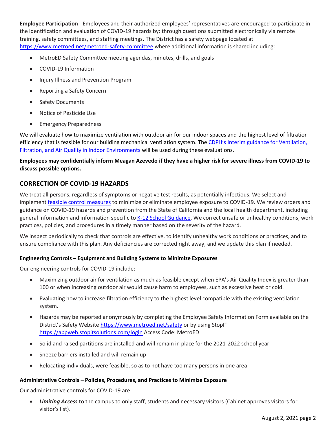**Employee Participation** - Employees and their authorized employees' representatives are encouraged to participate in the identification and evaluation of COVID-19 hazards by: through questions submitted electronically via remote training, safety committees, and staffing meetings. The District has a safety webpage located at <https://www.metroed.net/metroed-safety-committee> where additional information is shared including:

- MetroED Safety Committee meeting agendas, minutes, drills, and goals
- COVID-19 Information
- Injury Illness and Prevention Program
- Reporting a Safety Concern
- Safety Documents
- Notice of Pesticide Use
- Emergency Preparedness

We will evaluate how to maximize ventilation with outdoor air for our indoor spaces and the highest level of filtration efficiency that is feasible for our building mechanical ventilation system. The [CDPH's Interim guidance for Ventilation,](https://www.cdph.ca.gov/Programs/CID/DCDC/Pages/COVID-19/Interim-Guidance-for-Ventilation-Filtration-and-Air-Quality-in-Indoor-Environments.aspx)  [Filtration, and Air Quality in Indoor Environments](https://www.cdph.ca.gov/Programs/CID/DCDC/Pages/COVID-19/Interim-Guidance-for-Ventilation-Filtration-and-Air-Quality-in-Indoor-Environments.aspx) will be used during these evaluations.

## **Employees may confidentially inform Meagan Azevedo if they have a higher risk for severe illness from COVID-19 to discuss possible options.**

## <span id="page-4-0"></span>**CORRECTION OF COVID-19 HAZARDS**

We treat all persons, regardless of symptoms or negative test results, as potentially infectious. We select and implement [feasible control measures](https://www.safeatworkca.com/safety-articles/control-measures-for-covid-19/) to minimize or eliminate employee exposure to COVID-19. We review orders and guidance on COVID-19 hazards and prevention from the State of California and the local health department, including general information and information specific to [K-12 School Guidance.](https://www.cdph.ca.gov/Programs/CID/DCDC/Pages/COVID-19/K-12-Guidance-2021-22-School-Year.aspx) We correct unsafe or unhealthy conditions, work practices, policies, and procedures in a timely manner based on the severity of the hazard.

We inspect periodically to check that controls are effective, to identify unhealthy work conditions or practices, and to ensure compliance with this plan. Any deficiencies are corrected right away, and we update this plan if needed.

#### **Engineering Controls – Equipment and Building Systems to Minimize Exposures**

Our engineering controls for COVID-19 include:

- Maximizing outdoor air for ventilation as much as feasible except when EPA's Air Quality Index is greater than 100 or when increasing outdoor air would cause harm to employees, such as excessive heat or cold.
- Evaluating how to increase filtration efficiency to the highest level compatible with the existing ventilation system.
- Hazards may be reported anonymously by completing the Employee Safety Information Form available on the District's Safety Website <https://www.metroed.net/safety> or by using StopIT <https://appweb.stopitsolutions.com/login> Access Code: MetroED
- Solid and raised partitions are installed and will remain in place for the 2021-2022 school year
- Sneeze barriers installed and will remain up
- Relocating individuals, were feasible, so as to not have too many persons in one area

#### **Administrative Controls – Policies, Procedures, and Practices to Minimize Exposure**

Our administrative controls for COVID-19 are:

 *Limiting Access* to the campus to only staff, students and necessary visitors (Cabinet approves visitors for visitor's list).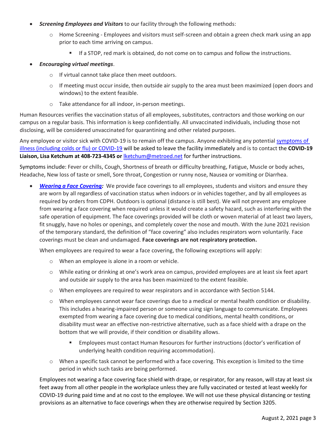- *Screening Employees and Visitors* to our facility through the following methods:
	- $\circ$  Home Screening Employees and visitors must self-screen and obtain a green check mark using an app prior to each time arriving on campus.
		- If a STOP, red mark is obtained, do not come on to campus and follow the instructions.
- *Encouraging virtual meetings*.
	- o If virtual cannot take place then meet outdoors.
	- $\circ$  If meeting must occur inside, then outside air supply to the area must been maximized (open doors and windows) to the extent feasible.
	- o Take attendance for all indoor, in-person meetings.

Human Resources verifies the vaccination status of all employees, substitutes, contractors and those working on our campus on a regular basis. This information is keep confidentially. All unvaccinated individuals, including those not disclosing, will be considered unvaccinated for quarantining and other related purposes.

Any employee or visitor sick with COVID-19 is to remain off the campus. Anyone exhibiting any potential symptoms of [illness \(including colds or flu\) or](https://www.cdc.gov/coronavirus/2019-ncov/symptoms-testing/symptoms.html) COVID-19 will be asked to leave the facility immediately and is to contact the **COVID-19 Liaison, Lisa Ketchum at 408-723-4345 or** [lketchum@metroed.net](mailto:lketchum@metroed.net) for further instructions.

Symptoms include: Fever or chills, Cough, Shortness of breath or difficulty breathing, Fatigue, Muscle or body aches, Headache, New loss of taste or smell, Sore throat, Congestion or runny nose, Nausea or vomiting or Diarrhea.

 *[Wearing a Face Covering:](https://covid19.ca.gov/masks-and-ppe/)*We provide face coverings to all employees, students and visitors and ensure they are worn by all regardless of vaccination status when indoors or in vehicles together, and by all employees as required by orders from CDPH. Outdoors is optional (distance is still best). We will not prevent any employee from wearing a face covering when required unless it would create a safety hazard, such as interfering with the safe operation of equipment. The face coverings provided will be cloth or woven material of at least two layers, fit snuggly, have no holes or openings, and completely cover the nose and mouth. With the June 2021 revision of the temporary standard, the definition of "face covering" also includes respirators worn voluntarily. Face coverings must be clean and undamaged. **Face coverings are not respiratory protection.**

When employees are required to wear a face covering, the following exceptions will apply:

- o When an employee is alone in a room or vehicle.
- o While eating or drinking at one's work area on campus, provided employees are at least six feet apart and outside air supply to the area has been maximized to the extent feasible.
- o When employees are required to wear respirators and in accordance with Section 5144.
- o When employees cannot wear face coverings due to a medical or mental health condition or disability. This includes a hearing-impaired person or someone using sign language to communicate. Employees exempted from wearing a face covering due to medical conditions, mental health conditions, or disability must wear an effective non-restrictive alternative, such as a face shield with a drape on the bottom that we will provide, if their condition or disability allows.
	- Employees must contact Human Resources for further instructions (doctor's verification of underlying health condition requiring accommodation).
- o When a specific task cannot be performed with a face covering. This exception is limited to the time period in which such tasks are being performed.

Employees not wearing a face covering face shield with drape, or respirator, for any reason, will stay at least six feet away from all other people in the workplace unless they are fully vaccinated or tested at least weekly for COVID-19 during paid time and at no cost to the employee. We will not use these physical distancing or testing provisions as an alternative to face coverings when they are otherwise required by Section 3205.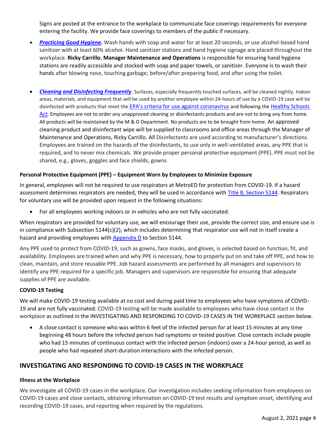Signs are posted at the entrance to the workplace to communicate face coverings requirements for everyone entering the facility. We provide face coverings to members of the public if necessary.

- *[Practicing Good Hygiene.](https://www.cdc.gov/handwashing/index.html)* Wash hands with soap and water for at least 20 seconds, or use alcohol-based hand sanitizer with at least 60% alcohol. Hand sanitizer stations and hand hygiene signage are placed throughout the workplace. **Ricky Carrillo**, **Manager Maintenance and Operations** is responsible for ensuring hand hygiene stations are readily accessible and stocked with soap and paper towels, or sanitizer. Everyone is to wash their hands after blowing nose, touching garbage; before/after preparing food, and after using the toilet.
- *[Cleaning and Disinfecting Frequently](https://www.cdc.gov/coronavirus/2019-ncov/community/disinfecting-building-facility.html)*. Surfaces, especially frequently touched surfaces, will be cleaned nightly. Indoor areas, materials, and equipment that will be used by another employee within 24-hours of use by a COVID-19 case will be disinfected with products that meet the [EPA's criteria for use against coronavirus](https://www.epa.gov/pesticide-registration/list-n-disinfectants-coronavirus-covid-19) and following the [Healthy Schools](https://www.cdpr.ca.gov/docs/schoolipm/school_ipm_law/hsa_faq.pdf) [Act](https://www.cdpr.ca.gov/docs/schoolipm/school_ipm_law/hsa_faq.pdf). Employees are not to order any unapproved cleaning or disinfectants products and are not to bring any from home. All products will be maintained by the M & O Department. No products are to be brought from home. An approved cleaning product and disinfectant wipe will be supplied to classrooms and office areas through the Manager of Maintenance and Operations, Ricky Carrillo. All Disinfectants are used according to manufacturer's directions. Employees are trained on the hazards of the disinfectants, to use only in well-ventilated areas, any PPE that is required, and to never mix chemicals. We provide proper personal protective equipment (PPE). PPE must not be shared, e.g., gloves, goggles and face shields, gowns

#### **Personal Protective Equipment (PPE) – Equipment Worn by Employees to Minimize Exposure**

In general, employees will not be required to use respirators at MetroED for protection from COVID-19. If a hazard assessment determines respirators are needed, they will be used in accordance with [Title 8, Section 5144.](https://www.dir.ca.gov/title8/5144.html) Respirators for voluntary use will be provided upon request in the following situations:

For all employees working indoors or in vehicles who are not fully vaccinated.

When respirators are provided for voluntary use, we will encourage their use, provide the correct size, and ensure use is in compliance with Subsection 5144(c)(2), which includes determining that respirator use will not in itself create a hazard and providing employees with **Appendix D** to Section 5144.

Any PPE used to protect from COVID-19, such as gowns, face masks, and gloves, is selected based on function, fit, and availability. Employees are trained when and why PPE is necessary, how to properly put on and take off PPE, and how to clean, maintain, and store reusable PPE. Job hazard assessments are performed by all managers and supervisors to identify any PPE required for a specific job. Managers and supervisors are responsible for ensuring that adequate supplies of PPE are available.

#### **COVID-19 Testing**

We will make COVID-19 testing available at no cost and during paid time to employees who have symptoms of COVID-19 and are not fully vaccinated. COVID-19 testing will be made available to employees who have close contact in the workplace as outlined in the INVESTIGATING AND RESPONDING TO COVID-19 CASES IN THE WORKPLACE section below.

 A close contact is someone who was within 6 feet of the infected person for at least 15 minutes at any time beginning 48 hours before the infected person had symptoms or tested positive. Close contacts include people who had 15 minutes of continuous contact with the infected person (indoors) over a 24-hour period, as well as people who had repeated short-duration interactions with the infected person.

## <span id="page-6-0"></span>**INVESTIGATING AND RESPONDING TO COVID-19 CASES IN THE WORKPLACE**

#### **Illness at the Workplace**

We investigate all COVID-19 cases in the workplace. Our investigation includes seeking information from employees on COVID-19 cases and close contacts, obtaining information on COVID-19 test results and symptom onset, identifying and recording COVID-19 cases, and reporting when required by the regulations.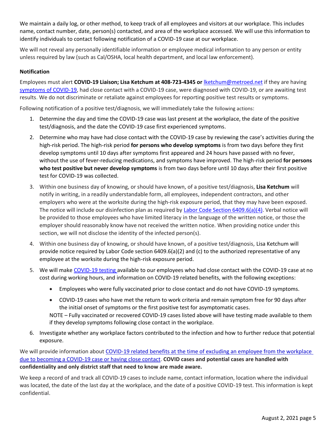We maintain a daily log, or other method, to keep track of all employees and visitors at our workplace. This includes name, contact number, date, person(s) contacted, and area of the workplace accessed. We will use this information to identify individuals to contact following notification of a COVID-19 case at our workplace.

We will not reveal any personally identifiable information or employee medical information to any person or entity unless required by law (such as Cal/OSHA, local health department, and local law enforcement).

#### **Notification**

Employees must alert **COVID-19 Liaison; Lisa Ketchum at 408-723-4345 or** [lketchum@metroed.net](mailto:lketchum@metroed.net) if they are having [symptoms of COVID-19,](https://www.cdc.gov/coronavirus/2019-ncov/symptoms-testing/symptoms.html) had close contact with a COVID-19 case, were diagnosed with COVID-19, or are awaiting test results. We do not discriminate or retaliate against employees for reporting positive test results or symptoms.

Following notification of a positive test/diagnosis, we will immediately take the following actions:

- 1. Determine the day and time the COVID-19 case was last present at the workplace, the date of the positive test/diagnosis, and the date the COVID-19 case first experienced symptoms.
- 2. Determine who may have had close contact with the COVID-19 case by reviewing the case's activities during the high-risk period. The high-risk period **for persons who develop symptoms** is from two days before they first develop symptoms until 10 days after symptoms first appeared and 24 hours have passed with no fever, without the use of fever-reducing medications, and symptoms have improved. The high-risk period **for persons who test positive but never develop symptoms** is from two days before until 10 days after their first positive test for COVID-19 was collected.
- 3. Within one business day of knowing, or should have known, of a positive test/diagnosis, **Lisa Ketchum** will notify in writing, in a readily understandable form, all employees, independent contractors, and other employers who were at the worksite during the high-risk exposure period, that they may have been exposed. The notice will include our disinfection plan as required by [Labor Code Section 6409.6\(a\)\(4\).](https://leginfo.legislature.ca.gov/faces/billTextClient.xhtml?bill_id=201920200AB685) Verbal notice will be provided to those employees who have limited literacy in the language of the written notice, or those the employer should reasonably know have not received the written notice. When providing notice under this section, we will not disclose the identity of the infected person(s).
- 4. Within one business day of knowing, or should have known, of a positive test/diagnosis, Lisa Ketchum will provide notice required by Labor Code section 6409.6(a)(2) and (c) to the authorized representative of any employee at the worksite during the high-risk exposure period.
- 5. We will mak[e COVID-19 testing](https://www.safeatworkca.com/globalassets/safety-resource-library/publications/covid-19-testing-requirements.pdf) available to our employees who had close contact with the COVID-19 case at no cost during working hours, and information on COVID-19 related benefits, with the following exceptions:
	- Employees who were fully vaccinated prior to close contact and do not have COVID-19 symptoms.
	- COVID-19 cases who have met the return to work criteria and remain symptom free for 90 days after the initial onset of symptoms or the first positive test for asymptomatic cases.

NOTE – Fully vaccinated or recovered COVID-19 cases listed above will have testing made available to them if they develop symptoms following close contact in the workplace.

6. Investigate whether any workplace factors contributed to the infection and how to further reduce that potential exposure.

We will provide information about [COVID-19 related benefits](https://www.dir.ca.gov/dlse/Comparison-COVID-19-Paid-Leave.html) at the time of excluding an employee from the workplace due to becoming a COVID-19 case or having close contact. **COVID cases and potential cases are handled with confidentiality and only district staff that need to know are made aware.**

We keep a record of and track all COVID-19 cases to include name, contact information, location where the individual was located, the date of the last day at the workplace, and the date of a positive COVID-19 test. This information is kept confidential.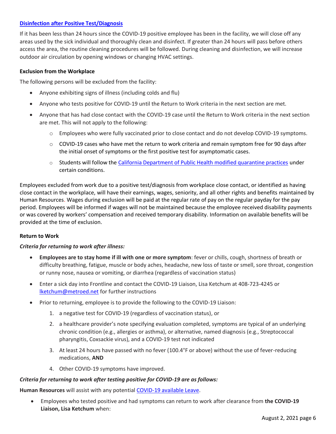#### **[Disinfection after Positive Test/Diagnosis](https://www.cdc.gov/coronavirus/2019-ncov/community/disinfecting-building-facility.html#anchor_1617551661760)**

If it has been less than 24 hours since the COVID-19 positive employee has been in the facility, we will close off any areas used by the sick individual and thoroughly clean and disinfect. If greater than 24 hours will pass before others access the area, the routine cleaning procedures will be followed. During cleaning and disinfection, we will increase outdoor air circulation by opening windows or changing HVAC settings.

#### **Exclusion from the Workplace**

The following persons will be excluded from the facility:

- Anyone exhibiting signs of illness (including colds and flu)
- Anyone who tests positive for COVID-19 until the Return to Work criteria in the next section are met.
- Anyone that has had close contact with the COVID-19 case until the Return to Work criteria in the next section are met. This will not apply to the following:
	- o Employees who were fully vaccinated prior to close contact and do not develop COVID-19 symptoms.
	- $\circ$  COVID-19 cases who have met the return to work criteria and remain symptom free for 90 days after the initial onset of symptoms or the first positive test for asymptomatic cases.
	- o Students will follow the [California Department of Public Health modified quarantine practices](https://www.cdph.ca.gov/Programs/CID/DCDC/Pages/COVID-19/K-12-Guidance-2021-22-School-Year.aspx) under certain conditions.

Employees excluded from work due to a positive test/diagnosis from workplace close contact, or identified as having close contact in the workplace, will have their earnings, wages, seniority, and all other rights and benefits maintained by Human Resources. Wages during exclusion will be paid at the regular rate of pay on the regular payday for the pay period. Employees will be informed if wages will not be maintained because the employee received disability payments or was covered by workers' compensation and received temporary disability. Information on available benefits will be provided at the time of exclusion.

#### **Return to Work**

#### *Criteria for returning to work after illness:*

- **Employees are to stay home if ill with one or more symptom**: fever or chills, cough, shortness of breath or difficulty breathing, fatigue, muscle or body aches, headache, new loss of taste or smell, sore throat, congestion or runny nose, nausea or vomiting, or diarrhea (regardless of vaccination status)
- Enter a sick day into Frontline and contact the COVID-19 Liaison, Lisa Ketchum at 408-723-4245 or [lketchum@metroed.net](mailto:lketchum@metroed.net) for further instructions
- Prior to returning, employee is to provide the following to the COVID-19 Liaison:
	- 1. a negative test for COVID-19 (regardless of vaccination status), or
	- 2. a healthcare provider's note specifying evaluation completed, symptoms are typical of an underlying chronic condition (e.g., allergies or asthma), or alternative, named diagnosis (e.g., Streptococcal pharyngitis, Coxsackie virus), and a COVID-19 test not indicated
	- 3. At least 24 hours have passed with no fever (100.4°F or above) without the use of fever-reducing medications, **AND**
	- 4. Other COVID-19 symptoms have improved.

#### *Criteria for returning to work after testing positive for COVID-19 are as follows:*

**Human Resources** will assist with any potential [COVID-19 available Leave.](https://www.dir.ca.gov/dlse/2021-COVID-19-Supplemental-Paid-Sick-Leave.pdf)

 Employees who tested positive and had symptoms can return to work after clearance from **the COVID-19 Liaison, Lisa Ketchum** when: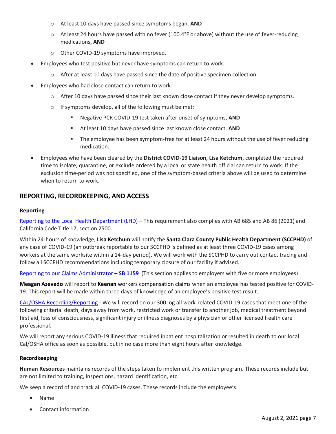- o At least 10 days have passed since symptoms began, **AND**
- o At least 24 hours have passed with no fever (100.4°F or above) without the use of fever-reducing medications, **AND**
- o Other COVID-19 symptoms have improved.
- Employees who test positive but never have symptoms can return to work:
	- o After at least 10 days have passed since the date of positive specimen collection.
- Employees who had close contact can return to work:
	- o After 10 days have passed since their last known close contact if they never develop symptoms.
	- $\circ$  If symptoms develop, all of the following must be met:
		- Negative PCR COVID-19 test taken after onset of symptoms, **AND**
		- At least 10 days have passed since last known close contact, **AND**
		- The employee has been symptom-free for at least 24 hours without the use of fever reducing medication.
- Employees who have been cleared by the **District COVID-19 Liaison, Lisa Ketchum**, completed the required time to isolate, quarantine, or exclude ordered by a local or state health official can return to work. If the exclusion time-period was not specified, one of the symptom-based criteria above will be used to determine when to return to work.

#### <span id="page-9-0"></span>**REPORTING, RECORDKEEPING, AND ACCESS**

#### **Reporting**

[Reporting to the Local Health Department \(LHD\)](https://www.cdph.ca.gov/Programs/CID/DCDC/Pages/COVID-19/Employer-Questions-about-AB-685.aspx) **–** This requirement also complies with AB 685 and AB 86 (2021) and California Code Title 17, section 2500.

Within 24-hours of knowledge, **Lisa Ketchum** will notify the **Santa Clara County Public Health Department (SCCPHD)** of any case of COVID-19 (an outbreak reportable to our SCCPHD is defined as at least three COVID-19 cases among workers at the same worksite within a 14-day period). We will work with the SCCPHD to carry out contact tracing and follow all SCCPHD recommendations including temporary closure of our facility if advised.

[Reporting to our Claims Administrator](https://www.dir.ca.gov/dwc/Covid-19/FAQ-SB-1159.html#:~:text=SB%201159%20provides%20that%20the,employer%20may%20dispute%20that%20conclusion.) **– [SB 1159](https://www.statefundca.com/Home/StaticIndex?id=https://content.statefundca.com//employers/SB1159.asp)** (This section applies to employers with five or more employees)

**Meagan Azevedo** will report to **Keenan** workers compensation claims when an employee has tested positive for COVID-19. This report will be made within three days of knowledge of an employee's positive test result.

[CAL/OSHA Recording/Reporting](https://dir.ca.gov/dosh/coronavirus/Reporting-Requirements-COVID-19.html) **-** We will record on our 300 log all work-related COVID-19 cases that meet one of the following criteria: death, days away from work, restricted work or transfer to another job, medical treatment beyond first aid, loss of consciousness, significant injury or illness diagnoses by a physician or other licensed health care professional.

We will report any serious COVID-19 illness that required inpatient hospitalization or resulted in death to our local Cal/OSHA office as soon as possible, but in no case more than eight hours after knowledge.

#### **Recordkeeping**

**Human Resources** maintains records of the steps taken to implement this written program. These records include but are not limited to training, inspections, hazard identification, etc.

We keep a record of and track all COVID-19 cases. These records include the employee's:

- Name
- Contact information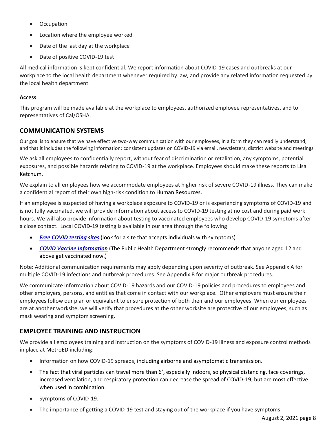- Occupation
- Location where the employee worked
- Date of the last day at the workplace
- Date of positive COVID-19 test

All medical information is kept confidential. We report information about COVID-19 cases and outbreaks at our workplace to the local health department whenever required by law, and provide any related information requested by the local health department.

#### **Access**

This program will be made available at the workplace to employees, authorized employee representatives, and to representatives of Cal/OSHA.

## <span id="page-10-0"></span>**COMMUNICATION SYSTEMS**

Our goal is to ensure that we have effective two-way communication with our employees, in a form they can readily understand, and that it includes the following information: consistent updates on COVID-19 via email, newsletters, district website and meetings

We ask all employees to confidentially report, without fear of discrimination or retaliation, any symptoms, potential exposures, and possible hazards relating to COVID-19 at the workplace. Employees should make these reports to Lisa Ketchum.

We explain to all employees how we accommodate employees at higher risk of severe COVID-19 illness. They can make a confidential report of their own high-risk condition to Human Resources.

If an employee is suspected of having a workplace exposure to COVID-19 or is experiencing symptoms of COVID-19 and is not fully vaccinated, we will provide information about access to COVID-19 testing at no cost and during paid work hours. We will also provide information about testing to vaccinated employees who develop COVID-19 symptoms after a close contact. Local COVID-19 testing is available in our area through the following:

- **[Free COVID testing sites](https://www.sccgov.org/sites/covid19/Pages/covid19-testing.aspx)** (look for a site that accepts individuals with symptoms)
- *[COVID Vaccine Information](https://covid19.sccgov.org/covid-19-vaccine-information)* (The Public Health Department strongly recommends that anyone aged 12 and above get vaccinated now.)

Note: Additional communication requirements may apply depending upon severity of outbreak. See Appendix A for multiple COVID-19 infections and outbreak procedures. See Appendix B for major outbreak procedures.

We communicate information about COVID-19 hazards and our COVID-19 policies and procedures to employees and other employers, persons, and entities that come in contact with our workplace. Other employers must ensure their employees follow our plan or equivalent to ensure protection of both their and our employees. When our employees are at another worksite, we will verify that procedures at the other worksite are protective of our employees, such as mask wearing and symptom screening.

## <span id="page-10-1"></span>**EMPLOYEE TRAINING AND INSTRUCTION**

We provide all employees training and instruction on the symptoms of COVID-19 illness and exposure control methods in place at MetroED including:

- Information on how COVID-19 spreads, including airborne and asymptomatic transmission.
- The fact that viral particles can travel more than 6', especially indoors, so physical distancing, face coverings, increased ventilation, and respiratory protection can decrease the spread of COVID-19, but are most effective when used in combination.
- Symptoms of COVID-19.
- The importance of getting a COVID-19 test and staying out of the workplace if you have symptoms.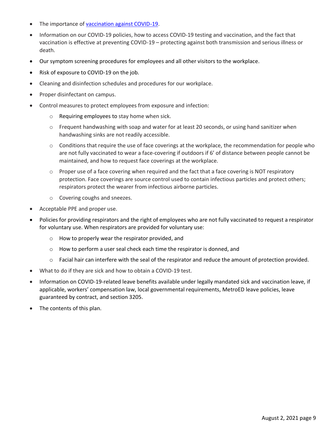- The importance of [vaccination against COVID-19.](https://www.cdc.gov/coronavirus/2019-ncov/vaccines/vaccine-benefits.html)
- Information on our COVID-19 policies, how to access COVID-19 testing and vaccination, and the fact that vaccination is effective at preventing COVID-19 – protecting against both transmission and serious illness or death.
- Our symptom screening procedures for employees and all other visitors to the workplace.
- Risk of exposure to COVID-19 on the job.
- Cleaning and disinfection schedules and procedures for our workplace.
- Proper disinfectant on campus.
- Control measures to protect employees from exposure and infection:
	- o Requiring employees to stay home when sick.
	- $\circ$  Frequent handwashing with soap and water for at least 20 seconds, or using hand sanitizer when handwashing sinks are not readily accessible.
	- $\circ$  Conditions that require the use of face coverings at the workplace, the recommendation for people who are not fully vaccinated to wear a face-covering if outdoors if 6' of distance between people cannot be maintained, and how to request face coverings at the workplace.
	- $\circ$  Proper use of a face covering when required and the fact that a face covering is NOT respiratory protection. Face coverings are source control used to contain infectious particles and protect others; respirators protect the wearer from infectious airborne particles.
	- o Covering coughs and sneezes.
- Acceptable PPE and proper use.
- Policies for providing respirators and the right of employees who are not fully vaccinated to request a respirator for voluntary use. When respirators are provided for voluntary use:
	- o How to properly wear the respirator provided, and
	- o How to perform a user seal check each time the respirator is donned, and
	- o Facial hair can interfere with the seal of the respirator and reduce the amount of protection provided.
- What to do if they are sick and how to obtain a COVID-19 test.
- Information on COVID-19-related leave benefits available under legally mandated sick and vaccination leave, if applicable, workers' compensation law, local governmental requirements, MetroED leave policies, leave guaranteed by contract, and section 3205.
- The contents of this plan.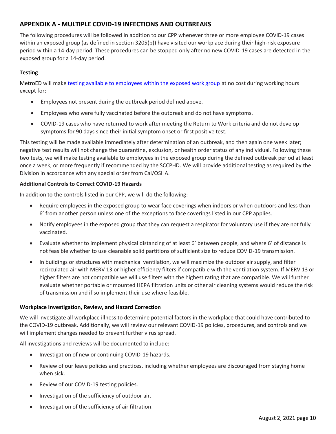## <span id="page-12-0"></span>**APPENDIX A - MULTIPLE COVID-19 INFECTIONS AND OUTBREAKS**

The following procedures will be followed in addition to our CPP whenever three or more employee COVID-19 cases within an exposed group (as defined in section 3205(b)) have visited our workplace during their high-risk exposure period within a 14-day period. These procedures can be stopped only after no new COVID-19 cases are detected in the exposed group for a 14-day period.

#### **Testing**

MetroED will make [testing available to employees within the exposed work group](https://www.safeatworkca.com/globalassets/safety-resource-library/publications/covid-19-testing-requirements.pdf) at no cost during working hours except for:

- Employees not present during the outbreak period defined above.
- Employees who were fully vaccinated before the outbreak and do not have symptoms.
- COVID-19 cases who have returned to work after meeting the Return to Work criteria and do not develop symptoms for 90 days since their initial symptom onset or first positive test.

This testing will be made available immediately after determination of an outbreak, and then again one week later; negative test results will not change the quarantine, exclusion, or health order status of any individual. Following these two tests, we will make testing available to employees in the exposed group during the defined outbreak period at least once a week, or more frequently if recommended by the SCCPHD. We will provide additional testing as required by the Division in accordance with any special order from Cal/OSHA.

#### **Additional Controls to Correct COVID-19 Hazards**

In addition to the controls listed in our CPP, we will do the following:

- Require employees in the exposed group to wear face coverings when indoors or when outdoors and less than 6' from another person unless one of the exceptions to face coverings listed in our CPP applies.
- Notify employees in the exposed group that they can request a respirator for voluntary use if they are not fully vaccinated.
- Evaluate whether to implement physical distancing of at least 6' between people, and where 6' of distance is not feasible whether to use cleanable solid partitions of sufficient size to reduce COVID-19 transmission.
- In buildings or structures with mechanical ventilation, we will maximize the outdoor air supply, and filter recirculated air with MERV 13 or higher efficiency filters if compatible with the ventilation system. If MERV 13 or higher filters are not compatible we will use filters with the highest rating that are compatible. We will further evaluate whether portable or mounted HEPA filtration units or other air cleaning systems would reduce the risk of transmission and if so implement their use where feasible.

#### **Workplace Investigation, Review, and Hazard Correction**

We will investigate all workplace illness to determine potential factors in the workplace that could have contributed to the COVID-19 outbreak. Additionally, we will review our relevant COVID-19 policies, procedures, and controls and we will implement changes needed to prevent further virus spread.

All investigations and reviews will be documented to include:

- Investigation of new or continuing COVID-19 hazards.
- Review of our leave policies and practices, including whether employees are discouraged from staying home when sick.
- Review of our COVID-19 testing policies.
- Investigation of the sufficiency of outdoor air.
- Investigation of the sufficiency of air filtration.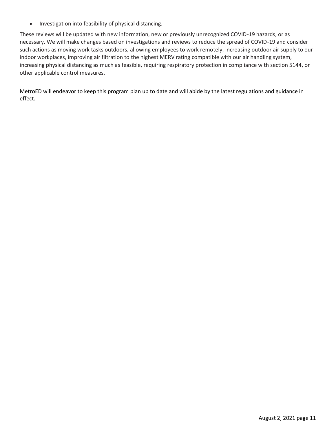• Investigation into feasibility of physical distancing.

These reviews will be updated with new information, new or previously unrecognized COVID-19 hazards, or as necessary. We will make changes based on investigations and reviews to reduce the spread of COVID-19 and consider such actions as moving work tasks outdoors, allowing employees to work remotely, increasing outdoor air supply to our indoor workplaces, improving air filtration to the highest MERV rating compatible with our air handling system, increasing physical distancing as much as feasible, requiring respiratory protection in compliance with section 5144, or other applicable control measures.

MetroED will endeavor to keep this program plan up to date and will abide by the latest regulations and guidance in effect.